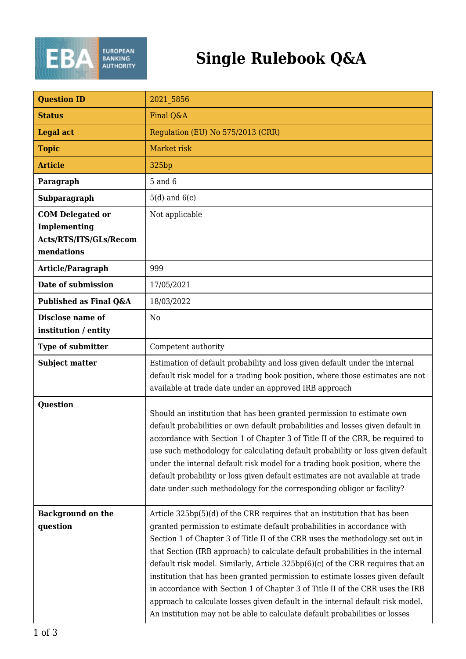

## **Single Rulebook Q&A**

| <b>Question ID</b>                                                              | 2021 5856                                                                                                                                                                                                                                                                                                                                                                                                                                                                                                                                                                                                                                                                                                                                    |
|---------------------------------------------------------------------------------|----------------------------------------------------------------------------------------------------------------------------------------------------------------------------------------------------------------------------------------------------------------------------------------------------------------------------------------------------------------------------------------------------------------------------------------------------------------------------------------------------------------------------------------------------------------------------------------------------------------------------------------------------------------------------------------------------------------------------------------------|
| <b>Status</b>                                                                   | Final Q&A                                                                                                                                                                                                                                                                                                                                                                                                                                                                                                                                                                                                                                                                                                                                    |
| <b>Legal act</b>                                                                | Regulation (EU) No 575/2013 (CRR)                                                                                                                                                                                                                                                                                                                                                                                                                                                                                                                                                                                                                                                                                                            |
| <b>Topic</b>                                                                    | Market risk                                                                                                                                                                                                                                                                                                                                                                                                                                                                                                                                                                                                                                                                                                                                  |
| <b>Article</b>                                                                  | 325 <sub>bp</sub>                                                                                                                                                                                                                                                                                                                                                                                                                                                                                                                                                                                                                                                                                                                            |
| Paragraph                                                                       | $5$ and $6$                                                                                                                                                                                                                                                                                                                                                                                                                                                                                                                                                                                                                                                                                                                                  |
| Subparagraph                                                                    | $5(d)$ and $6(c)$                                                                                                                                                                                                                                                                                                                                                                                                                                                                                                                                                                                                                                                                                                                            |
| <b>COM Delegated or</b><br>Implementing<br>Acts/RTS/ITS/GLs/Recom<br>mendations | Not applicable                                                                                                                                                                                                                                                                                                                                                                                                                                                                                                                                                                                                                                                                                                                               |
| Article/Paragraph                                                               | 999                                                                                                                                                                                                                                                                                                                                                                                                                                                                                                                                                                                                                                                                                                                                          |
| Date of submission                                                              | 17/05/2021                                                                                                                                                                                                                                                                                                                                                                                                                                                                                                                                                                                                                                                                                                                                   |
| Published as Final Q&A                                                          | 18/03/2022                                                                                                                                                                                                                                                                                                                                                                                                                                                                                                                                                                                                                                                                                                                                   |
| Disclose name of<br>institution / entity                                        | No                                                                                                                                                                                                                                                                                                                                                                                                                                                                                                                                                                                                                                                                                                                                           |
| <b>Type of submitter</b>                                                        | Competent authority                                                                                                                                                                                                                                                                                                                                                                                                                                                                                                                                                                                                                                                                                                                          |
| <b>Subject matter</b>                                                           | Estimation of default probability and loss given default under the internal<br>default risk model for a trading book position, where those estimates are not<br>available at trade date under an approved IRB approach                                                                                                                                                                                                                                                                                                                                                                                                                                                                                                                       |
| Question                                                                        | Should an institution that has been granted permission to estimate own<br>default probabilities or own default probabilities and losses given default in<br>accordance with Section 1 of Chapter 3 of Title II of the CRR, be required to<br>use such methodology for calculating default probability or loss given default<br>under the internal default risk model for a trading book position, where the<br>default probability or loss given default estimates are not available at trade<br>date under such methodology for the corresponding obligor or facility?                                                                                                                                                                      |
| <b>Background on the</b><br>question                                            | Article 325bp(5)(d) of the CRR requires that an institution that has been<br>granted permission to estimate default probabilities in accordance with<br>Section 1 of Chapter 3 of Title II of the CRR uses the methodology set out in<br>that Section (IRB approach) to calculate default probabilities in the internal<br>default risk model. Similarly, Article 325bp(6)(c) of the CRR requires that an<br>institution that has been granted permission to estimate losses given default<br>in accordance with Section 1 of Chapter 3 of Title II of the CRR uses the IRB<br>approach to calculate losses given default in the internal default risk model.<br>An institution may not be able to calculate default probabilities or losses |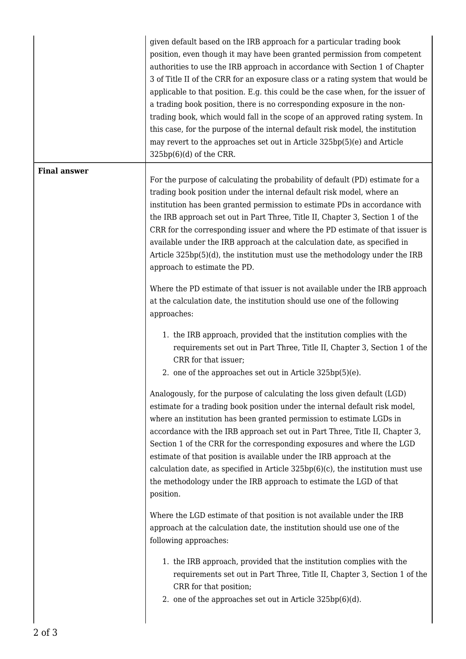|                     | given default based on the IRB approach for a particular trading book<br>position, even though it may have been granted permission from competent<br>authorities to use the IRB approach in accordance with Section 1 of Chapter<br>3 of Title II of the CRR for an exposure class or a rating system that would be<br>applicable to that position. E.g. this could be the case when, for the issuer of<br>a trading book position, there is no corresponding exposure in the non-<br>trading book, which would fall in the scope of an approved rating system. In<br>this case, for the purpose of the internal default risk model, the institution<br>may revert to the approaches set out in Article 325bp(5)(e) and Article<br>$325bp(6)(d)$ of the CRR. |
|---------------------|--------------------------------------------------------------------------------------------------------------------------------------------------------------------------------------------------------------------------------------------------------------------------------------------------------------------------------------------------------------------------------------------------------------------------------------------------------------------------------------------------------------------------------------------------------------------------------------------------------------------------------------------------------------------------------------------------------------------------------------------------------------|
| <b>Final answer</b> |                                                                                                                                                                                                                                                                                                                                                                                                                                                                                                                                                                                                                                                                                                                                                              |
|                     | For the purpose of calculating the probability of default (PD) estimate for a<br>trading book position under the internal default risk model, where an<br>institution has been granted permission to estimate PDs in accordance with<br>the IRB approach set out in Part Three, Title II, Chapter 3, Section 1 of the<br>CRR for the corresponding issuer and where the PD estimate of that issuer is<br>available under the IRB approach at the calculation date, as specified in<br>Article 325bp(5)(d), the institution must use the methodology under the IRB<br>approach to estimate the PD.                                                                                                                                                            |
|                     | Where the PD estimate of that issuer is not available under the IRB approach<br>at the calculation date, the institution should use one of the following<br>approaches:                                                                                                                                                                                                                                                                                                                                                                                                                                                                                                                                                                                      |
|                     | 1. the IRB approach, provided that the institution complies with the<br>requirements set out in Part Three, Title II, Chapter 3, Section 1 of the<br>CRR for that issuer;<br>2. one of the approaches set out in Article 325bp(5)(e).                                                                                                                                                                                                                                                                                                                                                                                                                                                                                                                        |
|                     | Analogously, for the purpose of calculating the loss given default (LGD)<br>estimate for a trading book position under the internal default risk model,<br>where an institution has been granted permission to estimate LGDs in<br>accordance with the IRB approach set out in Part Three, Title II, Chapter 3,<br>Section 1 of the CRR for the corresponding exposures and where the LGD<br>estimate of that position is available under the IRB approach at the<br>calculation date, as specified in Article $325bp(6)(c)$ , the institution must use<br>the methodology under the IRB approach to estimate the LGD of that<br>position.                                                                                                                   |
|                     | Where the LGD estimate of that position is not available under the IRB<br>approach at the calculation date, the institution should use one of the<br>following approaches:                                                                                                                                                                                                                                                                                                                                                                                                                                                                                                                                                                                   |
|                     | 1. the IRB approach, provided that the institution complies with the<br>requirements set out in Part Three, Title II, Chapter 3, Section 1 of the<br>CRR for that position;<br>2. one of the approaches set out in Article 325bp(6)(d).                                                                                                                                                                                                                                                                                                                                                                                                                                                                                                                      |